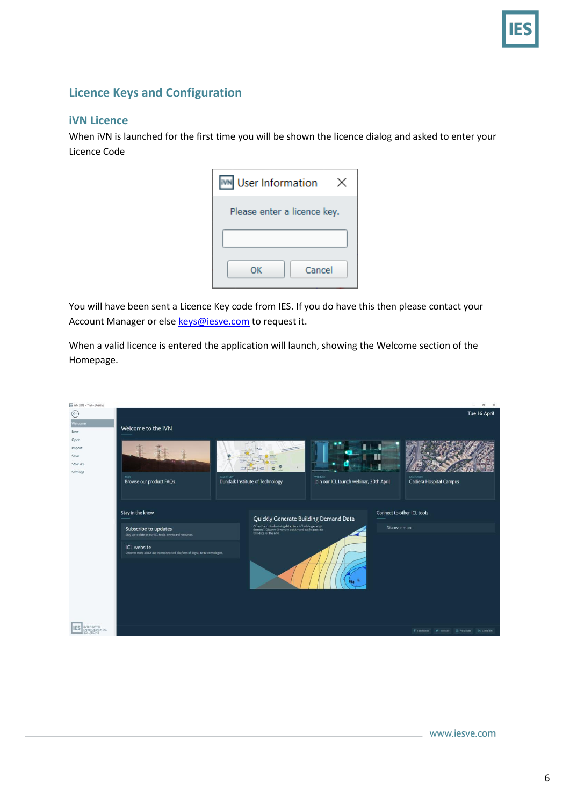

## **Licence Keys and Configuration**

## **iVN Licence**

When iVN is launched for the first time you will be shown the licence dialog and asked to enter your Licence Code

| <b>User Information</b>     |  |  |  |  |  |
|-----------------------------|--|--|--|--|--|
| Please enter a licence key. |  |  |  |  |  |
|                             |  |  |  |  |  |
| Cancel<br>ОΚ                |  |  |  |  |  |

You will have been sent a Licence Key code from IES. If you do have this then please contact your Account Manager or else [keys@iesve.com](mailto:keys@iesve.com) to request it.

When a valid licence is entered the application will launch, showing the Welcome section of the Homepage.

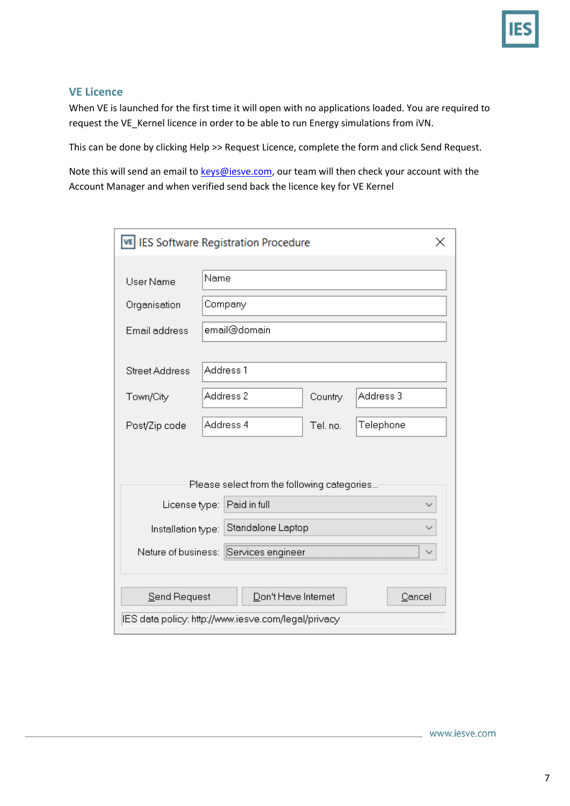

## **VE Licence**

When VE is launched for the first time it will open with no applications loaded. You are required to request the VE\_Kernel licence in order to be able to run Energy simulations from iVN.

This can be done by clicking Help >> Request Licence, complete the form and click Send Request.

Note this will send an email t[o keys@iesve.com,](mailto:keys@iesve.com) our team will then check your account with the Account Manager and when verified send back the licence key for VE Kernel

| <b>IES Software Registration Procedure</b><br>VE    |              |         |           |  |  |  |  |
|-----------------------------------------------------|--------------|---------|-----------|--|--|--|--|
| User Name                                           | Name         |         |           |  |  |  |  |
| Organisation                                        | Company      |         |           |  |  |  |  |
| Email address                                       | email@domain |         |           |  |  |  |  |
| <b>Street Address</b>                               | Address 1    |         |           |  |  |  |  |
| Town/City                                           | Address 2    | Country | Address 3 |  |  |  |  |
| Post/Zip code                                       | Address 4    | Tel.no. | Telephone |  |  |  |  |
| Please select from the following categories         |              |         |           |  |  |  |  |
| Paid in full<br>License type:                       |              |         |           |  |  |  |  |
| Standalone Laptop<br>Installation type:             |              |         |           |  |  |  |  |
| Nature of business:<br>Services engineer            |              |         |           |  |  |  |  |
|                                                     |              |         |           |  |  |  |  |
| Don't Have Internet<br>Cancel<br>Send Request       |              |         |           |  |  |  |  |
| IES data policy: http://www.iesve.com/legal/privacy |              |         |           |  |  |  |  |

www.iesve.com